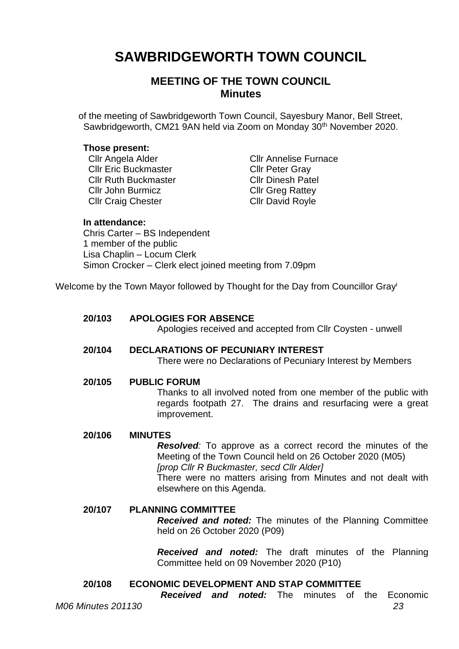# **SAWBRIDGEWORTH TOWN COUNCIL**

# **MEETING OF THE TOWN COUNCIL Minutes**

of the meeting of Sawbridgeworth Town Council, Sayesbury Manor, Bell Street, Sawbridgeworth, CM21 9AN held via Zoom on Monday 30<sup>th</sup> November 2020.

#### **Those present:**

Cllr Eric Buckmaster Cllr Peter Gray Cllr Ruth Buckmaster Cllr Dinesh Patel Cllr John Burmicz Cllr Greg Rattey Cllr Craig Chester Cllr David Royle

**Cllr Angela Alder Cllr Annelise Furnace** 

#### **In attendance:**

Chris Carter – BS Independent 1 member of the public Lisa Chaplin – Locum Clerk Simon Crocker – Clerk elect joined meeting from 7.09pm

Welcome by the Town Mayor followed by Thought for the Day from Councillor Gray<sup>i</sup>

## **20/103 APOLOGIES FOR ABSENCE**

Apologies received and accepted from Cllr Coysten - unwell

#### **20/104 DECLARATIONS OF PECUNIARY INTEREST** There were no Declarations of Pecuniary Interest by Members

#### **20/105 PUBLIC FORUM**

Thanks to all involved noted from one member of the public with regards footpath 27. The drains and resurfacing were a great improvement.

#### **20/106 MINUTES**

*Resolved:* To approve as a correct record the minutes of the Meeting of the Town Council held on 26 October 2020 (M05) *[prop Cllr R Buckmaster, secd Cllr Alder]* There were no matters arising from Minutes and not dealt with elsewhere on this Agenda.

## **20/107 PLANNING COMMITTEE**

*Received and noted:* The minutes of the Planning Committee held on 26 October 2020 (P09)

*Received and noted:* The draft minutes of the Planning Committee held on 09 November 2020 (P10)

## **20/108 ECONOMIC DEVELOPMENT AND STAP COMMITTEE**

*Received and noted:* The minutes of the Economic

*M06 Minutes 201130 23*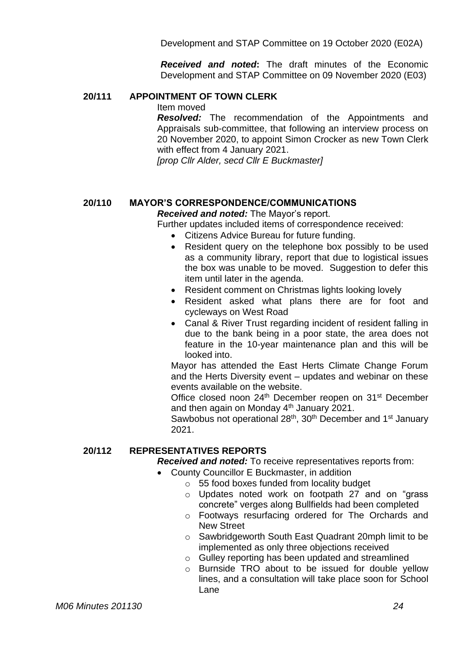Development and STAP Committee on 19 October 2020 (E02A)

*Received and noted***:** The draft minutes of the Economic Development and STAP Committee on 09 November 2020 (E03)

## **20/111 APPOINTMENT OF TOWN CLERK**

Item moved

*Resolved:* The recommendation of the Appointments and Appraisals sub-committee, that following an interview process on 20 November 2020, to appoint Simon Crocker as new Town Clerk with effect from 4 January 2021.

*[prop Cllr Alder, secd Cllr E Buckmaster]*

## **20/110 MAYOR'S CORRESPONDENCE/COMMUNICATIONS**

*Received and noted:* The Mayor's report.

Further updates included items of correspondence received:

- Citizens Advice Bureau for future funding.
- Resident query on the telephone box possibly to be used as a community library, report that due to logistical issues the box was unable to be moved. Suggestion to defer this item until later in the agenda.
- Resident comment on Christmas lights looking lovely
- Resident asked what plans there are for foot and cycleways on West Road
- Canal & River Trust regarding incident of resident falling in due to the bank being in a poor state, the area does not feature in the 10-year maintenance plan and this will be looked into.

Mayor has attended the East Herts Climate Change Forum and the Herts Diversity event – updates and webinar on these events available on the website.

Office closed noon 24<sup>th</sup> December reopen on 31<sup>st</sup> December and then again on Monday  $4<sup>th</sup>$  January 2021.

Sawbobus not operational 28<sup>th</sup>, 30<sup>th</sup> December and 1<sup>st</sup> January 2021.

## **20/112 REPRESENTATIVES REPORTS**

*Received and noted:* To receive representatives reports from:

- County Councillor E Buckmaster, in addition
	- o 55 food boxes funded from locality budget
	- o Updates noted work on footpath 27 and on "grass concrete" verges along Bullfields had been completed
	- o Footways resurfacing ordered for The Orchards and New Street
	- o Sawbridgeworth South East Quadrant 20mph limit to be implemented as only three objections received
	- o Gulley reporting has been updated and streamlined
	- o Burnside TRO about to be issued for double yellow lines, and a consultation will take place soon for School Lane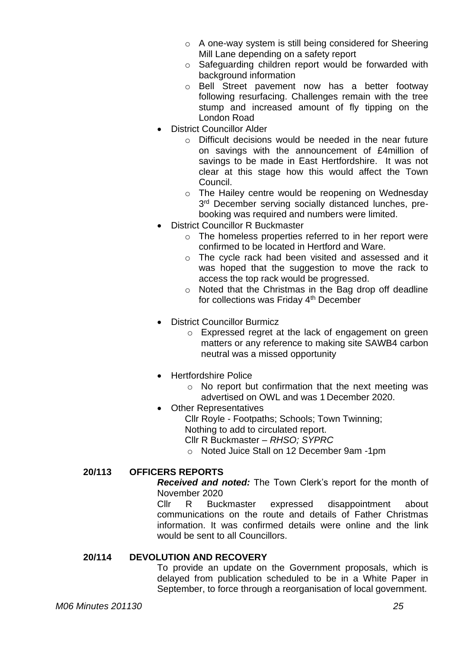- o A one-way system is still being considered for Sheering Mill Lane depending on a safety report
- o Safeguarding children report would be forwarded with background information
- o Bell Street pavement now has a better footway following resurfacing. Challenges remain with the tree stump and increased amount of fly tipping on the London Road
- District Councillor Alder
	- $\circ$  Difficult decisions would be needed in the near future on savings with the announcement of £4million of savings to be made in East Hertfordshire. It was not clear at this stage how this would affect the Town Council.
	- o The Hailey centre would be reopening on Wednesday 3<sup>rd</sup> December serving socially distanced lunches, prebooking was required and numbers were limited.
- District Councillor R Buckmaster
	- o The homeless properties referred to in her report were confirmed to be located in Hertford and Ware.
	- o The cycle rack had been visited and assessed and it was hoped that the suggestion to move the rack to access the top rack would be progressed.
	- o Noted that the Christmas in the Bag drop off deadline for collections was Friday 4th December
- **District Councillor Burmicz** 
	- o Expressed regret at the lack of engagement on green matters or any reference to making site SAWB4 carbon neutral was a missed opportunity
- Hertfordshire Police
	- o No report but confirmation that the next meeting was advertised on OWL and was 1 December 2020.
- **Other Representatives** 
	- Cllr Royle Footpaths; Schools; Town Twinning; Nothing to add to circulated report.
	- Cllr R Buckmaster *– RHSO; SYPRC*
	- o Noted Juice Stall on 12 December 9am -1pm

# **20/113 OFFICERS REPORTS**

*Received and noted:* The Town Clerk's report for the month of November 2020

Cllr R Buckmaster expressed disappointment about communications on the route and details of Father Christmas information. It was confirmed details were online and the link would be sent to all Councillors.

# **20/114 DEVOLUTION AND RECOVERY**

To provide an update on the Government proposals, which is delayed from publication scheduled to be in a White Paper in September, to force through a reorganisation of local government.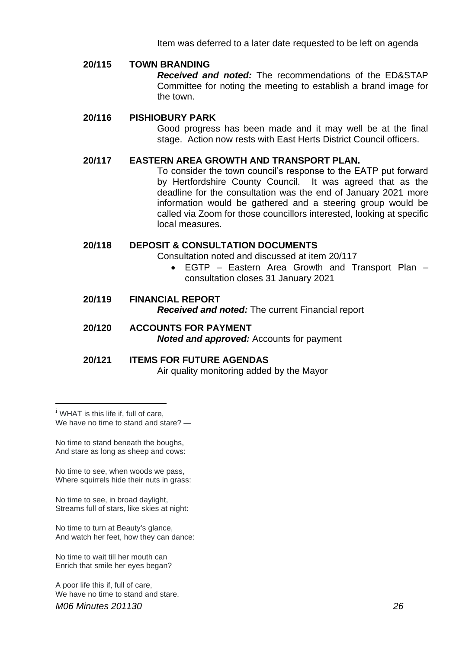Item was deferred to a later date requested to be left on agenda

## **20/115 TOWN BRANDING**

*Received and noted:* The recommendations of the ED&STAP Committee for noting the meeting to establish a brand image for the town.

#### **20/116 PISHIOBURY PARK**

Good progress has been made and it may well be at the final stage. Action now rests with East Herts District Council officers.

#### **20/117 EASTERN AREA GROWTH AND TRANSPORT PLAN.**

To consider the town council's response to the EATP put forward by Hertfordshire County Council. It was agreed that as the deadline for the consultation was the end of January 2021 more information would be gathered and a steering group would be called via Zoom for those councillors interested, looking at specific local measures.

#### **20/118 DEPOSIT & CONSULTATION DOCUMENTS**

Consultation noted and discussed at item 20/117

• EGTP – Eastern Area Growth and Transport Plan – consultation closes 31 January 2021

# **20/119 FINANCIAL REPORT** *Received and noted:* The current Financial report

## **20/120 ACCOUNTS FOR PAYMENT** *Noted and approved:* Accounts for payment

#### **20/121 ITEMS FOR FUTURE AGENDAS**

Air quality monitoring added by the Mayor

<sup>i</sup> WHAT is this life if, full of care, We have no time to stand and stare? —

No time to stand beneath the boughs, And stare as long as sheep and cows:

No time to see, when woods we pass, Where squirrels hide their nuts in grass:

No time to see, in broad daylight, Streams full of stars, like skies at night:

No time to turn at Beauty's glance, And watch her feet, how they can dance:

No time to wait till her mouth can Enrich that smile her eyes began?

*M06 Minutes 201130 26* A poor life this if, full of care, We have no time to stand and stare.